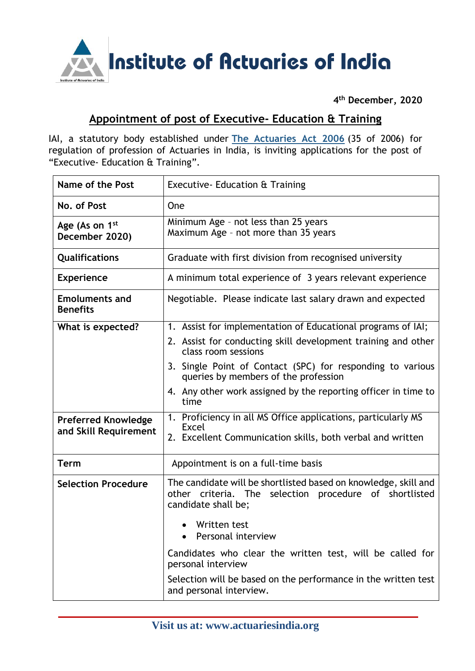

**4 th December, 2020**

## **Appointment of post of Executive- Education & Training**

IAI, a statutory body established under **[The Actuaries Act 2006](http://www.actuariesindia.org/guidance/scanned%20GN.pdf)** (35 of 2006) for regulation of profession of Actuaries in India, is inviting applications for the post of "Executive- Education & Training".

| Name of the Post                                    | Executive - Education & Training                                                                                                                 |
|-----------------------------------------------------|--------------------------------------------------------------------------------------------------------------------------------------------------|
| No. of Post                                         | <b>One</b>                                                                                                                                       |
| Age (As on 1 <sup>st</sup><br>December 2020)        | Minimum Age - not less than 25 years<br>Maximum Age - not more than 35 years                                                                     |
| <b>Qualifications</b>                               | Graduate with first division from recognised university                                                                                          |
| <b>Experience</b>                                   | A minimum total experience of 3 years relevant experience                                                                                        |
| <b>Emoluments and</b><br><b>Benefits</b>            | Negotiable. Please indicate last salary drawn and expected                                                                                       |
| What is expected?                                   | 1. Assist for implementation of Educational programs of IAI;                                                                                     |
|                                                     | 2. Assist for conducting skill development training and other<br>class room sessions                                                             |
|                                                     | 3. Single Point of Contact (SPC) for responding to various<br>queries by members of the profession                                               |
|                                                     | 4. Any other work assigned by the reporting officer in time to<br>time                                                                           |
| <b>Preferred Knowledge</b><br>and Skill Requirement | 1. Proficiency in all MS Office applications, particularly MS<br><b>Excel</b><br>2. Excellent Communication skills, both verbal and written      |
| <b>Term</b>                                         | Appointment is on a full-time basis                                                                                                              |
| <b>Selection Procedure</b>                          | The candidate will be shortlisted based on knowledge, skill and<br>other criteria. The selection procedure of shortlisted<br>candidate shall be; |
|                                                     | Written test<br>Personal interview                                                                                                               |
|                                                     | Candidates who clear the written test, will be called for<br>personal interview                                                                  |
|                                                     | Selection will be based on the performance in the written test<br>and personal interview.                                                        |